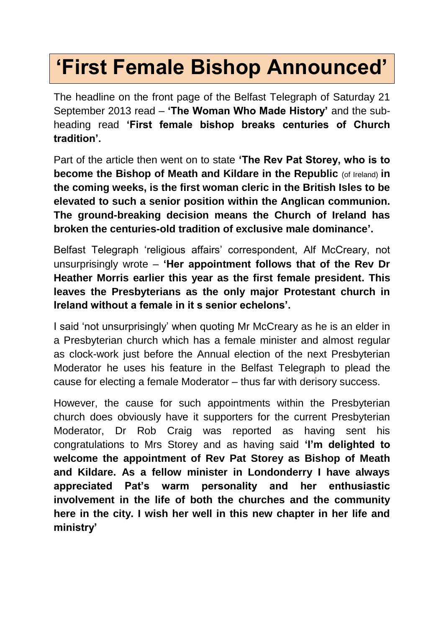## **'First Female Bishop Announced'**

The headline on the front page of the Belfast Telegraph of Saturday 21 September 2013 read – **'The Woman Who Made History'** and the subheading read **'First female bishop breaks centuries of Church tradition'.** 

Part of the article then went on to state **'The Rev Pat Storey, who is to become the Bishop of Meath and Kildare in the Republic** (of Ireland) **in the coming weeks, is the first woman cleric in the British Isles to be elevated to such a senior position within the Anglican communion. The ground-breaking decision means the Church of Ireland has broken the centuries-old tradition of exclusive male dominance'.**

Belfast Telegraph 'religious affairs' correspondent, Alf McCreary, not unsurprisingly wrote – **'Her appointment follows that of the Rev Dr Heather Morris earlier this year as the first female president. This leaves the Presbyterians as the only major Protestant church in Ireland without a female in it s senior echelons'.**

I said 'not unsurprisingly' when quoting Mr McCreary as he is an elder in a Presbyterian church which has a female minister and almost regular as clock-work just before the Annual election of the next Presbyterian Moderator he uses his feature in the Belfast Telegraph to plead the cause for electing a female Moderator – thus far with derisory success.

However, the cause for such appointments within the Presbyterian church does obviously have it supporters for the current Presbyterian Moderator, Dr Rob Craig was reported as having sent his congratulations to Mrs Storey and as having said **'I'm delighted to welcome the appointment of Rev Pat Storey as Bishop of Meath and Kildare. As a fellow minister in Londonderry I have always appreciated Pat's warm personality and her enthusiastic involvement in the life of both the churches and the community here in the city. I wish her well in this new chapter in her life and ministry'**